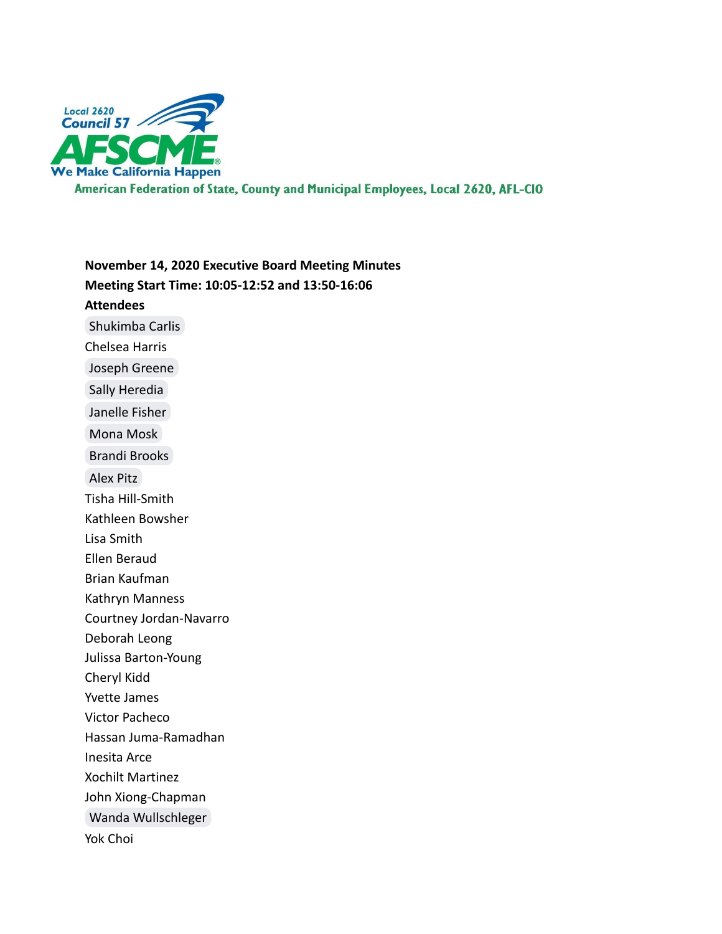

American Federation of State, County and Municipal Employees, Local 2620, AFL-CIO

**November 14, 2020 Executive Board Meeting Minutes Meeting Start Time: 10:05-12:52 and 13:50-16:06 Attendees** [Shukimba Carlis](mailto:president@afscmelocal2620.org) Chelsea Harris [Joseph Greene](mailto:kg6cig@gmail.com) [Sally Heredia](mailto:treasurer@afscmelocal2620.org) [Janelle Fisher](mailto:secretary@afscmelocal2620.org) [Mona Mosk](mailto:Mona.mosk@gmail.com) [Brandi Brooks](mailto:brandi.brooks@afscmelocal2620.org) [Alex Pitz](mailto:alex.pitz@afscmelocal2620.org) Tisha Hill-Smith Kathleen Bowsher Lisa Smith Ellen Beraud Brian Kaufman Kathryn Manness Courtney Jordan-Navarro Deborah Leong Julissa Barton-Young Cheryl Kidd Yvette James Victor Pacheco Hassan Juma-Ramadhan Inesita Arce Xochilt Martinez John Xiong-Chapman [Wanda Wullschleger](mailto:wanda.wullschleger@afscmelocal2620.org) Yok Choi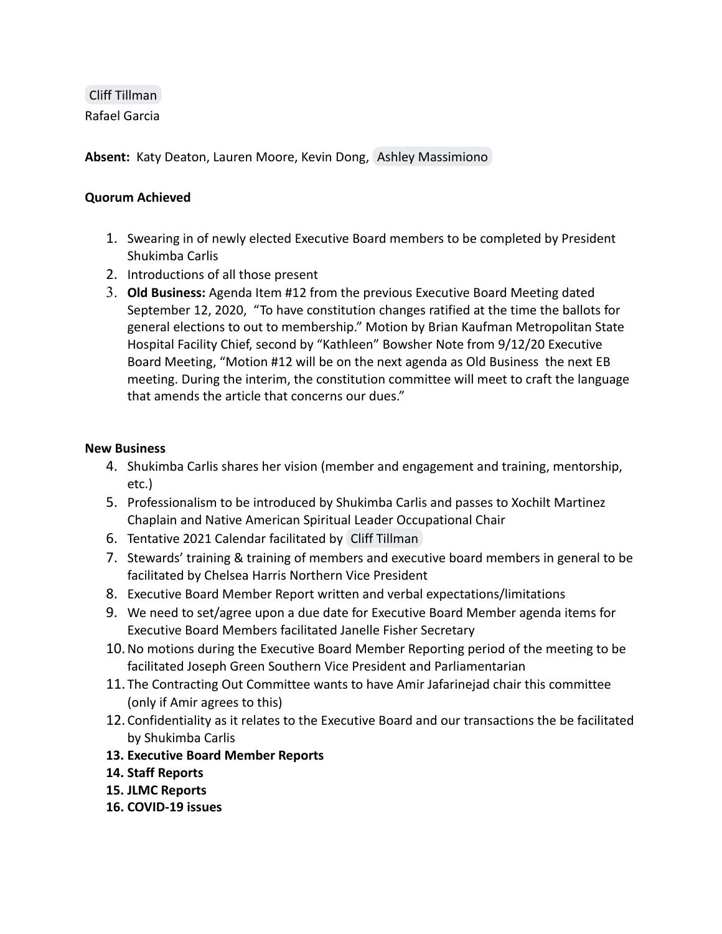[Cliff Tillman](mailto:cliff.tillman@ca.afscme57.org) Rafael Garcia

**Absent:** Katy Deaton, Lauren Moore, Kevin Dong, [Ashley Massimiono](mailto:ashley.massimino@afscmelocal2620.org)

## **Quorum Achieved**

- 1. Swearing in of newly elected Executive Board members to be completed by President Shukimba Carlis
- 2. Introductions of all those present
- 3. **Old Business:** Agenda Item #12 from the previous Executive Board Meeting dated September 12, 2020, "To have constitution changes ratified at the time the ballots for general elections to out to membership." Motion by Brian Kaufman Metropolitan State Hospital Facility Chief, second by "Kathleen" Bowsher Note from 9/12/20 Executive Board Meeting, "Motion #12 will be on the next agenda as Old Business the next EB meeting. During the interim, the constitution committee will meet to craft the language that amends the article that concerns our dues."

## **New Business**

- 4. Shukimba Carlis shares her vision (member and engagement and training, mentorship, etc.)
- 5. Professionalism to be introduced by Shukimba Carlis and passes to Xochilt Martinez Chaplain and Native American Spiritual Leader Occupational Chair
- 6. Tentative 2021 Calendar facilitated by [Cliff Tillman](mailto:cliff.tillman@ca.afscme57.org)
- 7. Stewards' training & training of members and executive board members in general to be facilitated by Chelsea Harris Northern Vice President
- 8. Executive Board Member Report written and verbal expectations/limitations
- 9. We need to set/agree upon a due date for Executive Board Member agenda items for Executive Board Members facilitated Janelle Fisher Secretary
- 10.No motions during the Executive Board Member Reporting period of the meeting to be facilitated Joseph Green Southern Vice President and Parliamentarian
- 11. The Contracting Out Committee wants to have Amir Jafarinejad chair this committee (only if Amir agrees to this)
- 12.Confidentiality as it relates to the Executive Board and our transactions the be facilitated by Shukimba Carlis
- **13. Executive Board Member Reports**
- **14. Staff Reports**
- **15. JLMC Reports**
- **16. COVID-19 issues**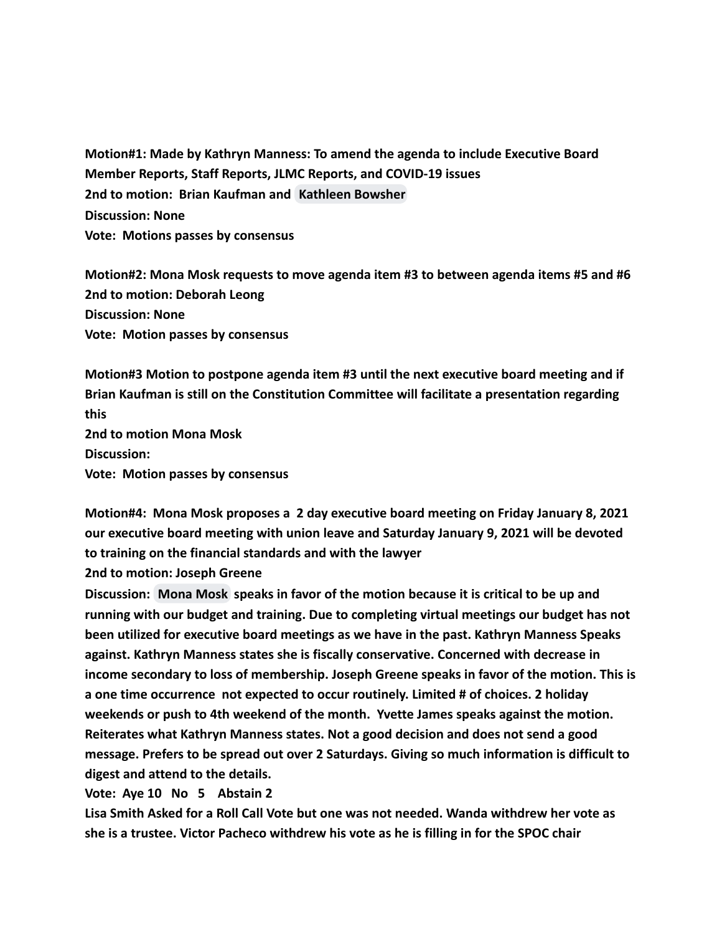**Motion#1: Made by Kathryn Manness: To amend the agenda to include Executive Board Member Reports, Staff Reports, JLMC Reports, and COVID-19 issues 2nd to motion: Brian Kaufman and [Kathleen Bowsher](mailto:kathleen.bowsher@afscmelocal2620.org) Discussion: None Vote: Motions passes by consensus**

**Motion#2: Mona Mosk requests to move agenda item #3 to between agenda items #5 and #6 2nd to motion: Deborah Leong Discussion: None Vote: Motion passes by consensus**

**Motion#3 Motion to postpone agenda item #3 until the next executive board meeting and if Brian Kaufman is still on the Constitution Committee will facilitate a presentation regarding this 2nd to motion Mona Mosk**

**Discussion: Vote: Motion passes by consensus**

**Motion#4: Mona Mosk proposes a 2 day executive board meeting on Friday January 8, 2021 our executive board meeting with union leave and Saturday January 9, 2021 will be devoted to training on the financial standards and with the lawyer**

**2nd to motion: Joseph Greene**

**Discussion: [Mona Mosk](mailto:Mona.mosk@gmail.com) speaks in favor of the motion because it is critical to be up and running with our budget and training. Due to completing virtual meetings our budget has not been utilized for executive board meetings as we have in the past. Kathryn Manness Speaks against. Kathryn Manness states she is fiscally conservative. Concerned with decrease in income secondary to loss of membership. Joseph Greene speaks in favor of the motion. This is a one time occurrence not expected to occur routinely. Limited # of choices. 2 holiday weekends or push to 4th weekend of the month. Yvette James speaks against the motion. Reiterates what Kathryn Manness states. Not a good decision and does not send a good message. Prefers to be spread out over 2 Saturdays. Giving so much information is difficult to digest and attend to the details.**

**Vote: Aye 10 No 5 Abstain 2**

**Lisa Smith Asked for a Roll Call Vote but one was not needed. Wanda withdrew her vote as she is a trustee. Victor Pacheco withdrew his vote as he is filling in for the SPOC chair**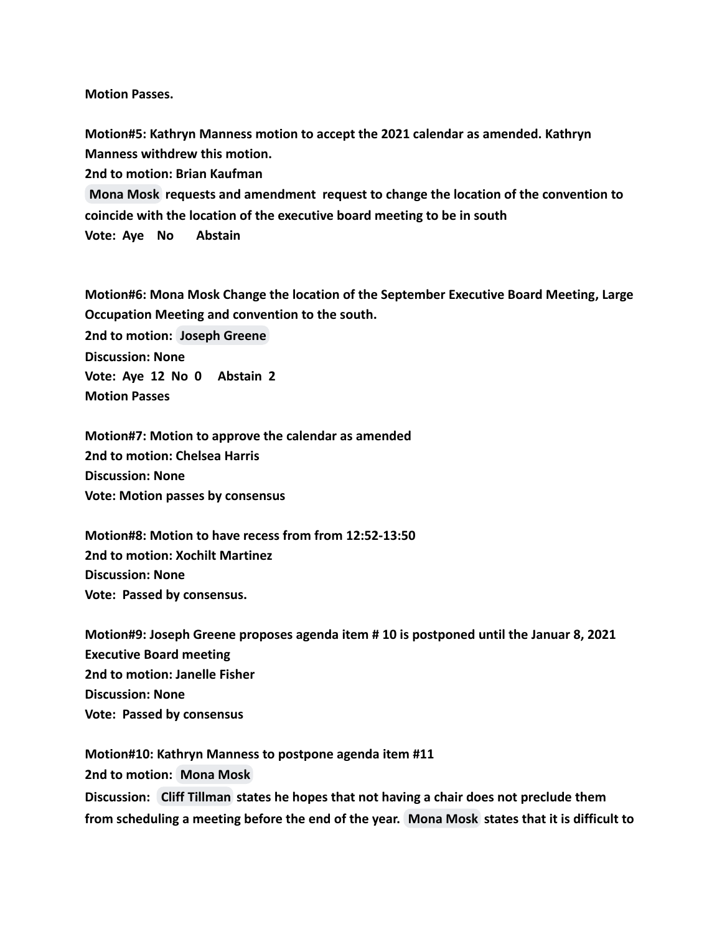**Motion Passes.**

**Motion#5: Kathryn Manness motion to accept the 2021 calendar as amended. Kathryn Manness withdrew this motion.**

**2nd to motion: Brian Kaufman**

**[Mona Mosk](mailto:Mona.mosk@gmail.com) requests and amendment request to change the location of the convention to coincide with the location of the executive board meeting to be in south Vote: Aye No Abstain**

**Motion#6: Mona Mosk Change the location of the September Executive Board Meeting, Large Occupation Meeting and convention to the south.**

**2nd to motion: [Joseph Greene](mailto:kg6cig@gmail.com) Discussion: None Vote: Aye 12 No 0 Abstain 2 Motion Passes**

**Motion#7: Motion to approve the calendar as amended 2nd to motion: Chelsea Harris Discussion: None Vote: Motion passes by consensus**

**Motion#8: Motion to have recess from from 12:52-13:50 2nd to motion: Xochilt Martinez Discussion: None Vote: Passed by consensus.**

**Motion#9: Joseph Greene proposes agenda item # 10 is postponed until the Januar 8, 2021 Executive Board meeting 2nd to motion: Janelle Fisher Discussion: None Vote: Passed by consensus**

**Motion#10: Kathryn Manness to postpone agenda item #11 2nd to motion: [Mona Mosk](mailto:Mona.mosk@gmail.com) Discussion: [Cliff Tillman](mailto:cliff.tillman@ca.afscme57.org) states he hopes that not having a chair does not preclude them from scheduling a meeting before the end of the year. [Mona Mosk](mailto:Mona.mosk@gmail.com) states that it is difficult to**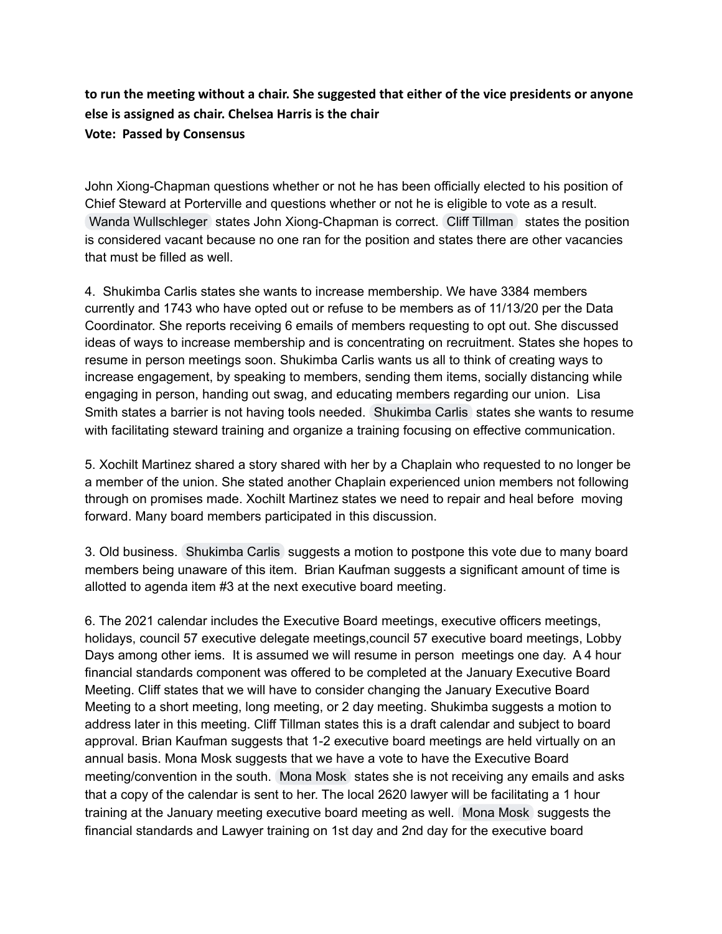## **to run the meeting without a chair. She suggested that either of the vice presidents or anyone else is assigned as chair. Chelsea Harris is the chair Vote: Passed by Consensus**

John Xiong-Chapman questions whether or not he has been officially elected to his position of Chief Steward at Porterville and questions whether or not he is eligible to vote as a result. Wanda [Wullschleger](mailto:wanda.wullschleger@afscmelocal2620.org) states John Xiong-Chapman is correct. Cliff [Tillman](mailto:cliff.tillman@ca.afscme57.org) states the position is considered vacant because no one ran for the position and states there are other vacancies that must be filled as well.

4. Shukimba Carlis states she wants to increase membership. We have 3384 members currently and 1743 who have opted out or refuse to be members as of 11/13/20 per the Data Coordinator. She reports receiving 6 emails of members requesting to opt out. She discussed ideas of ways to increase membership and is concentrating on recruitment. States she hopes to resume in person meetings soon. Shukimba Carlis wants us all to think of creating ways to increase engagement, by speaking to members, sending them items, socially distancing while engaging in person, handing out swag, and educating members regarding our union. Lisa Smith states a barrier is not having tools needed. [Shukimba](mailto:president@afscmelocal2620.org) Carlis states she wants to resume with facilitating steward training and organize a training focusing on effective communication.

5. Xochilt Martinez shared a story shared with her by a Chaplain who requested to no longer be a member of the union. She stated another Chaplain experienced union members not following through on promises made. Xochilt Martinez states we need to repair and heal before moving forward. Many board members participated in this discussion.

3. Old business. [Shukimba](mailto:president@afscmelocal2620.org) Carlis suggests a motion to postpone this vote due to many board members being unaware of this item. Brian Kaufman suggests a significant amount of time is allotted to agenda item #3 at the next executive board meeting.

6. The 2021 calendar includes the Executive Board meetings, executive officers meetings, holidays, council 57 executive delegate meetings,council 57 executive board meetings, Lobby Days among other iems. It is assumed we will resume in person meetings one day. A 4 hour financial standards component was offered to be completed at the January Executive Board Meeting. Cliff states that we will have to consider changing the January Executive Board Meeting to a short meeting, long meeting, or 2 day meeting. Shukimba suggests a motion to address later in this meeting. Cliff Tillman states this is a draft calendar and subject to board approval. Brian Kaufman suggests that 1-2 executive board meetings are held virtually on an annual basis. Mona Mosk suggests that we have a vote to have the Executive Board meeting/convention in the south. [Mona](mailto:Mona.mosk@gmail.com) Mosk states she is not receiving any emails and asks that a copy of the calendar is sent to her. The local 2620 lawyer will be facilitating a 1 hour training at the January meeting executive board meeting as well. [Mona](mailto:Mona.mosk@gmail.com) Mosk suggests the financial standards and Lawyer training on 1st day and 2nd day for the executive board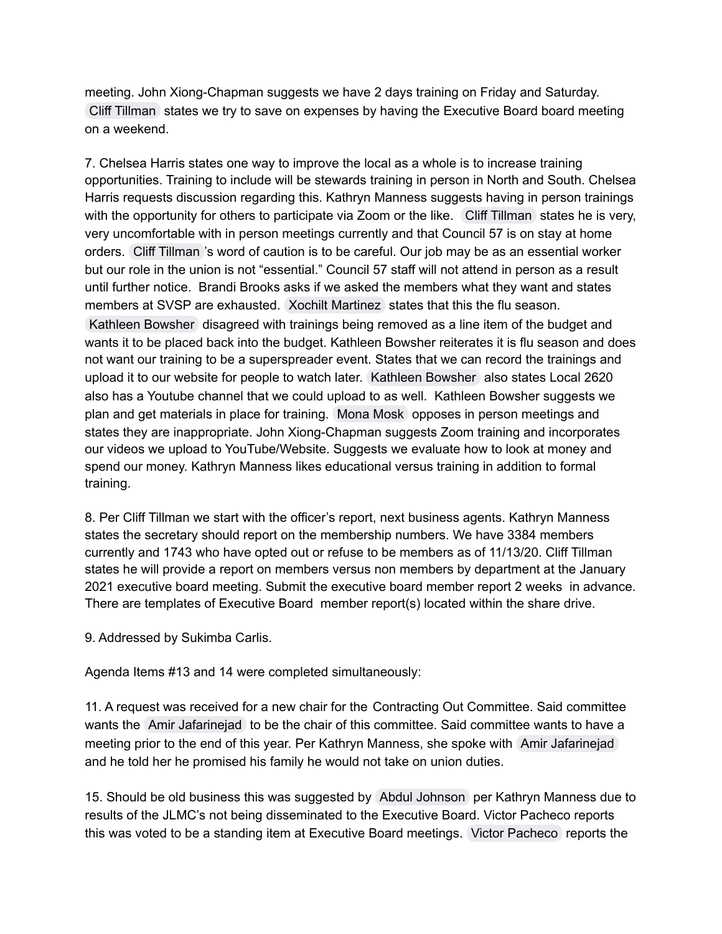meeting. John Xiong-Chapman suggests we have 2 days training on Friday and Saturday. Cliff [Tillman](mailto:cliff.tillman@ca.afscme57.org) states we try to save on expenses by having the Executive Board board meeting on a weekend.

7. Chelsea Harris states one way to improve the local as a whole is to increase training opportunities. Training to include will be stewards training in person in North and South. Chelsea Harris requests discussion regarding this. Kathryn Manness suggests having in person trainings with the opportunity for others to participate via Zoom or the like. Cliff [Tillman](mailto:cliff.tillman@ca.afscme57.org) states he is very, very uncomfortable with in person meetings currently and that Council 57 is on stay at home orders. Cliff [Tillman](mailto:cliff.tillman@ca.afscme57.org) 's word of caution is to be careful. Our job may be as an essential worker but our role in the union is not "essential." Council 57 staff will not attend in person as a result until further notice. Brandi Brooks asks if we asked the members what they want and states members at SVSP are exhausted. Xochilt [Martinez](mailto:xochilt.martinez@afscmelocal2620.org) states that this the flu season.

[Kathleen](mailto:kathleen.bowsher@afscmelocal2620.org) Bowsher disagreed with trainings being removed as a line item of the budget and wants it to be placed back into the budget. Kathleen Bowsher reiterates it is flu season and does not want our training to be a superspreader event. States that we can record the trainings and upload it to our website for people to watch later. [Kathleen](mailto:kathleen.bowsher@afscmelocal2620.org) Bowsher also states Local 2620 also has a Youtube channel that we could upload to as well. Kathleen Bowsher suggests we plan and get materials in place for training. [Mona](mailto:Mona.mosk@gmail.com) Mosk opposes in person meetings and states they are inappropriate. John Xiong-Chapman suggests Zoom training and incorporates our videos we upload to YouTube/Website. Suggests we evaluate how to look at money and spend our money. Kathryn Manness likes educational versus training in addition to formal training.

8. Per Cliff Tillman we start with the officer's report, next business agents. Kathryn Manness states the secretary should report on the membership numbers. We have 3384 members currently and 1743 who have opted out or refuse to be members as of 11/13/20. Cliff Tillman states he will provide a report on members versus non members by department at the January 2021 executive board meeting. Submit the executive board member report 2 weeks in advance. There are templates of Executive Board member report(s) located within the share drive.

9. Addressed by Sukimba Carlis.

Agenda Items #13 and 14 were completed simultaneously:

11. A request was received for a new chair for the Contracting Out Committee. Said committee wants the Amir [Jafarinejad](mailto:amir.jafarinejad@afscmelocal2620.org) to be the chair of this committee. Said committee wants to have a meeting prior to the end of this year. Per Kathryn Manness, she spoke with Amir [Jafarinejad](mailto:amir.jafarinejad@afscmelocal2620.org) and he told her he promised his family he would not take on union duties.

15. Should be old business this was suggested by Abdul [Johnson](mailto:abdul.johnson2620@gmail.com) per Kathryn Manness due to results of the JLMC's not being disseminated to the Executive Board. Victor Pacheco reports this was voted to be a standing item at Executive Board meetings. Victor [Pacheco](mailto:victor.pacheco@afscmelocal2620.org) reports the